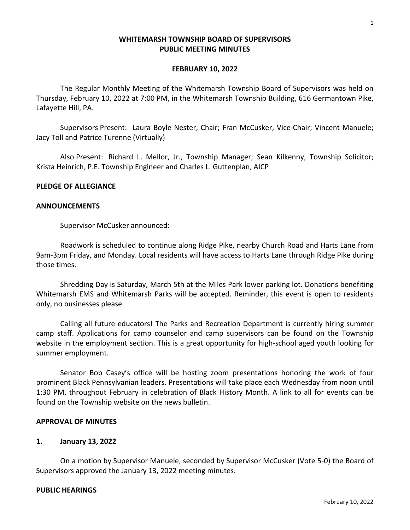## **WHITEMARSH TOWNSHIP BOARD OF SUPERVISORS PUBLIC MEETING MINUTES**

### **FEBRUARY 10, 2022**

The Regular Monthly Meeting of the Whitemarsh Township Board of Supervisors was held on Thursday, February 10, 2022 at 7:00 PM, in the Whitemarsh Township Building, 616 Germantown Pike, Lafayette Hill, PA.

Supervisors Present: Laura Boyle Nester, Chair; Fran McCusker, Vice-Chair; Vincent Manuele; Jacy Toll and Patrice Turenne (Virtually)

Also Present: Richard L. Mellor, Jr., Township Manager; Sean Kilkenny, Township Solicitor; Krista Heinrich, P.E. Township Engineer and Charles L. Guttenplan, AICP

## **PLEDGE OF ALLEGIANCE**

### **ANNOUNCEMENTS**

Supervisor McCusker announced:

Roadwork is scheduled to continue along Ridge Pike, nearby Church Road and Harts Lane from 9am-3pm Friday, and Monday. Local residents will have access to Harts Lane through Ridge Pike during those times.

Shredding Day is Saturday, March 5th at the Miles Park lower parking lot. Donations benefiting Whitemarsh EMS and Whitemarsh Parks will be accepted. Reminder, this event is open to residents only, no businesses please.

Calling all future educators! The Parks and Recreation Department is currently hiring summer camp staff. Applications for camp counselor and camp supervisors can be found on the Township website in the employment section. This is a great opportunity for high-school aged youth looking for summer employment.

Senator Bob Casey's office will be hosting zoom presentations honoring the work of four prominent Black Pennsylvanian leaders. Presentations will take place each Wednesday from noon until 1:30 PM, throughout February in celebration of Black History Month. A link to all for events can be found on the Township website on the news bulletin.

## **APPROVAL OF MINUTES**

## **1. January 13, 2022**

On a motion by Supervisor Manuele, seconded by Supervisor McCusker (Vote 5-0) the Board of Supervisors approved the January 13, 2022 meeting minutes.

### **PUBLIC HEARINGS**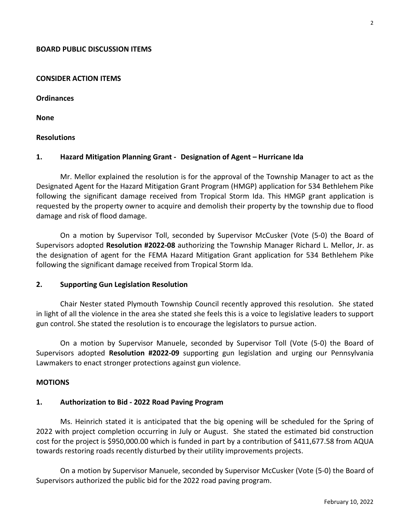## **BOARD PUBLIC DISCUSSION ITEMS**

#### **CONSIDER ACTION ITEMS**

**Ordinances**

**None**

### **Resolutions**

### **1. Hazard Mitigation Planning Grant - Designation of Agent – Hurricane Ida**

Mr. Mellor explained the resolution is for the approval of the Township Manager to act as the Designated Agent for the Hazard Mitigation Grant Program (HMGP) application for 534 Bethlehem Pike following the significant damage received from Tropical Storm Ida. This HMGP grant application is requested by the property owner to acquire and demolish their property by the township due to flood damage and risk of flood damage.

On a motion by Supervisor Toll, seconded by Supervisor McCusker (Vote (5-0) the Board of Supervisors adopted **Resolution #2022-08** authorizing the Township Manager Richard L. Mellor, Jr. as the designation of agent for the FEMA Hazard Mitigation Grant application for 534 Bethlehem Pike following the significant damage received from Tropical Storm Ida.

### **2. Supporting Gun Legislation Resolution**

Chair Nester stated Plymouth Township Council recently approved this resolution. She stated in light of all the violence in the area she stated she feels this is a voice to legislative leaders to support gun control. She stated the resolution is to encourage the legislators to pursue action.

On a motion by Supervisor Manuele, seconded by Supervisor Toll (Vote (5-0) the Board of Supervisors adopted **Resolution #2022-09** supporting gun legislation and urging our Pennsylvania Lawmakers to enact stronger protections against gun violence.

## **MOTIONS**

### **1. Authorization to Bid - 2022 Road Paving Program**

Ms. Heinrich stated it is anticipated that the big opening will be scheduled for the Spring of 2022 with project completion occurring in July or August. She stated the estimated bid construction cost for the project is \$950,000.00 which is funded in part by a contribution of \$411,677.58 from AQUA towards restoring roads recently disturbed by their utility improvements projects.

On a motion by Supervisor Manuele, seconded by Supervisor McCusker (Vote (5-0) the Board of Supervisors authorized the public bid for the 2022 road paving program.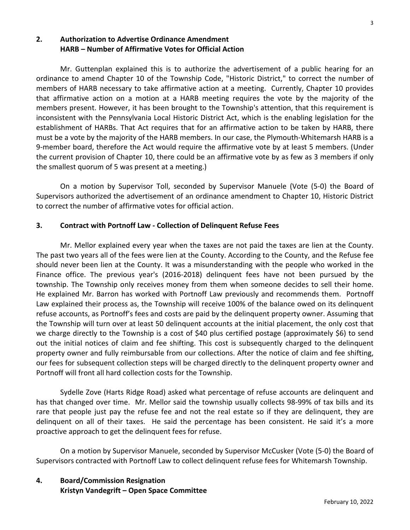# **2. Authorization to Advertise Ordinance Amendment HARB – Number of Affirmative Votes for Official Action**

Mr. Guttenplan explained this is to authorize the advertisement of a public hearing for an ordinance to amend Chapter 10 of the Township Code, "Historic District," to correct the number of members of HARB necessary to take affirmative action at a meeting. Currently, Chapter 10 provides that affirmative action on a motion at a HARB meeting requires the vote by the majority of the members present. However, it has been brought to the Township's attention, that this requirement is inconsistent with the Pennsylvania Local Historic District Act, which is the enabling legislation for the establishment of HARBs. That Act requires that for an affirmative action to be taken by HARB, there must be a vote by the majority of the HARB members. In our case, the Plymouth-Whitemarsh HARB is a 9-member board, therefore the Act would require the affirmative vote by at least 5 members. (Under the current provision of Chapter 10, there could be an affirmative vote by as few as 3 members if only the smallest quorum of 5 was present at a meeting.)

On a motion by Supervisor Toll, seconded by Supervisor Manuele (Vote (5-0) the Board of Supervisors authorized the advertisement of an ordinance amendment to Chapter 10, Historic District to correct the number of affirmative votes for official action.

# **3. Contract with Portnoff Law - Collection of Delinquent Refuse Fees**

Mr. Mellor explained every year when the taxes are not paid the taxes are lien at the County. The past two years all of the fees were lien at the County. According to the County, and the Refuse fee should never been lien at the County. It was a misunderstanding with the people who worked in the Finance office. The previous year's (2016-2018) delinquent fees have not been pursued by the township. The Township only receives money from them when someone decides to sell their home. He explained Mr. Barron has worked with Portnoff Law previously and recommends them. Portnoff Law explained their process as, the Township will receive 100% of the balance owed on its delinquent refuse accounts, as Portnoff's fees and costs are paid by the delinquent property owner. Assuming that the Township will turn over at least 50 delinquent accounts at the initial placement, the only cost that we charge directly to the Township is a cost of \$40 plus certified postage (approximately \$6) to send out the initial notices of claim and fee shifting. This cost is subsequently charged to the delinquent property owner and fully reimbursable from our collections. After the notice of claim and fee shifting, our fees for subsequent collection steps will be charged directly to the delinquent property owner and Portnoff will front all hard collection costs for the Township.

Sydelle Zove (Harts Ridge Road) asked what percentage of refuse accounts are delinquent and has that changed over time. Mr. Mellor said the township usually collects 98-99% of tax bills and its rare that people just pay the refuse fee and not the real estate so if they are delinquent, they are delinquent on all of their taxes. He said the percentage has been consistent. He said it's a more proactive approach to get the delinquent fees for refuse.

On a motion by Supervisor Manuele, seconded by Supervisor McCusker (Vote (5-0) the Board of Supervisors contracted with Portnoff Law to collect delinquent refuse fees for Whitemarsh Township.

# **4. Board/Commission Resignation Kristyn Vandegrift – Open Space Committee**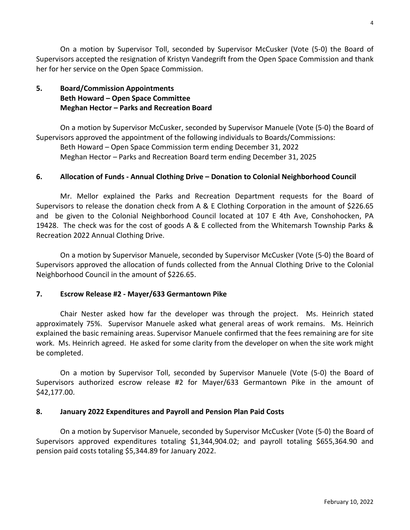On a motion by Supervisor Toll, seconded by Supervisor McCusker (Vote (5-0) the Board of Supervisors accepted the resignation of Kristyn Vandegrift from the Open Space Commission and thank her for her service on the Open Space Commission.

# **5. Board/Commission Appointments Beth Howard – Open Space Committee Meghan Hector – Parks and Recreation Board**

On a motion by Supervisor McCusker, seconded by Supervisor Manuele (Vote (5-0) the Board of Supervisors approved the appointment of the following individuals to Boards/Commissions:

Beth Howard – Open Space Commission term ending December 31, 2022 Meghan Hector – Parks and Recreation Board term ending December 31, 2025

## **6. Allocation of Funds - Annual Clothing Drive – Donation to Colonial Neighborhood Council**

Mr. Mellor explained the Parks and Recreation Department requests for the Board of Supervisors to release the donation check from A & E Clothing Corporation in the amount of \$226.65 and be given to the Colonial Neighborhood Council located at 107 E 4th Ave, Conshohocken, PA 19428. The check was for the cost of goods A & E collected from the Whitemarsh Township Parks & Recreation 2022 Annual Clothing Drive.

On a motion by Supervisor Manuele, seconded by Supervisor McCusker (Vote (5-0) the Board of Supervisors approved the allocation of funds collected from the Annual Clothing Drive to the Colonial Neighborhood Council in the amount of \$226.65.

# **7. Escrow Release #2 - Mayer/633 Germantown Pike**

Chair Nester asked how far the developer was through the project. Ms. Heinrich stated approximately 75%. Supervisor Manuele asked what general areas of work remains. Ms. Heinrich explained the basic remaining areas. Supervisor Manuele confirmed that the fees remaining are for site work. Ms. Heinrich agreed. He asked for some clarity from the developer on when the site work might be completed.

On a motion by Supervisor Toll, seconded by Supervisor Manuele (Vote (5-0) the Board of Supervisors authorized escrow release #2 for Mayer/633 Germantown Pike in the amount of \$42,177.00.

## **8. January 2022 Expenditures and Payroll and Pension Plan Paid Costs**

On a motion by Supervisor Manuele, seconded by Supervisor McCusker (Vote (5-0) the Board of Supervisors approved expenditures totaling \$1,344,904.02; and payroll totaling \$655,364.90 and pension paid costs totaling \$5,344.89 for January 2022.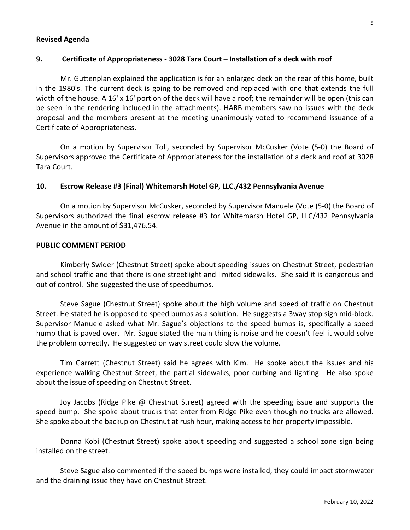## **Revised Agenda**

## **9. Certificate of Appropriateness - 3028 Tara Court – Installation of a deck with roof**

Mr. Guttenplan explained the application is for an enlarged deck on the rear of this home, built in the 1980's. The current deck is going to be removed and replaced with one that extends the full width of the house. A 16' x 16' portion of the deck will have a roof; the remainder will be open (this can be seen in the rendering included in the attachments). HARB members saw no issues with the deck proposal and the members present at the meeting unanimously voted to recommend issuance of a Certificate of Appropriateness.

On a motion by Supervisor Toll, seconded by Supervisor McCusker (Vote (5-0) the Board of Supervisors approved the Certificate of Appropriateness for the installation of a deck and roof at 3028 Tara Court.

### **10. Escrow Release #3 (Final) Whitemarsh Hotel GP, LLC./432 Pennsylvania Avenue**

On a motion by Supervisor McCusker, seconded by Supervisor Manuele (Vote (5-0) the Board of Supervisors authorized the final escrow release #3 for Whitemarsh Hotel GP, LLC/432 Pennsylvania Avenue in the amount of \$31,476.54.

#### **PUBLIC COMMENT PERIOD**

Kimberly Swider (Chestnut Street) spoke about speeding issues on Chestnut Street, pedestrian and school traffic and that there is one streetlight and limited sidewalks. She said it is dangerous and out of control. She suggested the use of speedbumps.

Steve Sague (Chestnut Street) spoke about the high volume and speed of traffic on Chestnut Street. He stated he is opposed to speed bumps as a solution. He suggests a 3way stop sign mid-block. Supervisor Manuele asked what Mr. Sague's objections to the speed bumps is, specifically a speed hump that is paved over. Mr. Sague stated the main thing is noise and he doesn't feel it would solve the problem correctly. He suggested on way street could slow the volume.

Tim Garrett (Chestnut Street) said he agrees with Kim. He spoke about the issues and his experience walking Chestnut Street, the partial sidewalks, poor curbing and lighting. He also spoke about the issue of speeding on Chestnut Street.

Joy Jacobs (Ridge Pike @ Chestnut Street) agreed with the speeding issue and supports the speed bump. She spoke about trucks that enter from Ridge Pike even though no trucks are allowed. She spoke about the backup on Chestnut at rush hour, making access to her property impossible.

Donna Kobi (Chestnut Street) spoke about speeding and suggested a school zone sign being installed on the street.

Steve Sague also commented if the speed bumps were installed, they could impact stormwater and the draining issue they have on Chestnut Street.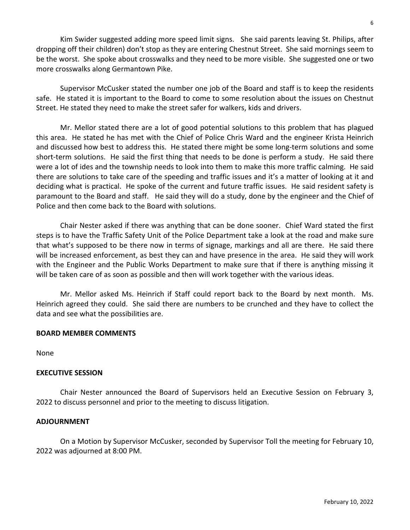Kim Swider suggested adding more speed limit signs. She said parents leaving St. Philips, after dropping off their children) don't stop as they are entering Chestnut Street. She said mornings seem to be the worst. She spoke about crosswalks and they need to be more visible. She suggested one or two more crosswalks along Germantown Pike.

Supervisor McCusker stated the number one job of the Board and staff is to keep the residents safe. He stated it is important to the Board to come to some resolution about the issues on Chestnut Street. He stated they need to make the street safer for walkers, kids and drivers.

Mr. Mellor stated there are a lot of good potential solutions to this problem that has plagued this area. He stated he has met with the Chief of Police Chris Ward and the engineer Krista Heinrich and discussed how best to address this. He stated there might be some long-term solutions and some short-term solutions. He said the first thing that needs to be done is perform a study. He said there were a lot of ides and the township needs to look into them to make this more traffic calming. He said there are solutions to take care of the speeding and traffic issues and it's a matter of looking at it and deciding what is practical. He spoke of the current and future traffic issues. He said resident safety is paramount to the Board and staff. He said they will do a study, done by the engineer and the Chief of Police and then come back to the Board with solutions.

Chair Nester asked if there was anything that can be done sooner. Chief Ward stated the first steps is to have the Traffic Safety Unit of the Police Department take a look at the road and make sure that what's supposed to be there now in terms of signage, markings and all are there. He said there will be increased enforcement, as best they can and have presence in the area. He said they will work with the Engineer and the Public Works Department to make sure that if there is anything missing it will be taken care of as soon as possible and then will work together with the various ideas.

Mr. Mellor asked Ms. Heinrich if Staff could report back to the Board by next month. Ms. Heinrich agreed they could. She said there are numbers to be crunched and they have to collect the data and see what the possibilities are.

# **BOARD MEMBER COMMENTS**

None

## **EXECUTIVE SESSION**

Chair Nester announced the Board of Supervisors held an Executive Session on February 3, 2022 to discuss personnel and prior to the meeting to discuss litigation.

## **ADJOURNMENT**

On a Motion by Supervisor McCusker, seconded by Supervisor Toll the meeting for February 10, 2022 was adjourned at 8:00 PM.